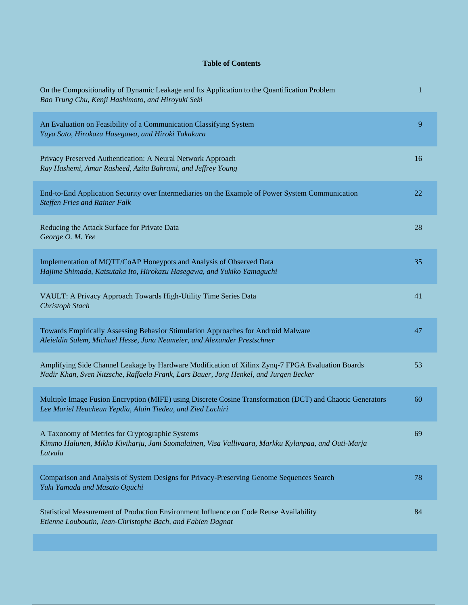## **Table of Contents**

| On the Compositionality of Dynamic Leakage and Its Application to the Quantification Problem<br>Bao Trung Chu, Kenji Hashimoto, and Hiroyuki Seki                                         | 1  |
|-------------------------------------------------------------------------------------------------------------------------------------------------------------------------------------------|----|
| An Evaluation on Feasibility of a Communication Classifying System<br>Yuya Sato, Hirokazu Hasegawa, and Hiroki Takakura                                                                   | 9  |
| Privacy Preserved Authentication: A Neural Network Approach<br>Ray Hashemi, Amar Rasheed, Azita Bahrami, and Jeffrey Young                                                                | 16 |
| End-to-End Application Security over Intermediaries on the Example of Power System Communication<br><b>Steffen Fries and Rainer Falk</b>                                                  | 22 |
| Reducing the Attack Surface for Private Data<br>George O. M. Yee                                                                                                                          | 28 |
| Implementation of MQTT/CoAP Honeypots and Analysis of Observed Data<br>Hajime Shimada, Katsutaka Ito, Hirokazu Hasegawa, and Yukiko Yamaguchi                                             | 35 |
| VAULT: A Privacy Approach Towards High-Utility Time Series Data<br>Christoph Stach                                                                                                        | 41 |
| Towards Empirically Assessing Behavior Stimulation Approaches for Android Malware<br>Aleieldin Salem, Michael Hesse, Jona Neumeier, and Alexander Prestschner                             | 47 |
| Amplifying Side Channel Leakage by Hardware Modification of Xilinx Zynq-7 FPGA Evaluation Boards<br>Nadir Khan, Sven Nitzsche, Raffaela Frank, Lars Bauer, Jorg Henkel, and Jurgen Becker | 53 |
| Multiple Image Fusion Encryption (MIFE) using Discrete Cosine Transformation (DCT) and Chaotic Generators<br>Lee Mariel Heucheun Yepdia, Alain Tiedeu, and Zied Lachiri                   | 60 |
| A Taxonomy of Metrics for Cryptographic Systems<br>Kimmo Halunen, Mikko Kiviharju, Jani Suomalainen, Visa Vallivaara, Markku Kylanpaa, and Outi-Marja<br>Latvala                          | 69 |
| Comparison and Analysis of System Designs for Privacy-Preserving Genome Sequences Search<br>Yuki Yamada and Masato Oguchi                                                                 | 78 |
| Statistical Measurement of Production Environment Influence on Code Reuse Availability<br>Etienne Louboutin, Jean-Christophe Bach, and Fabien Dagnat                                      | 84 |